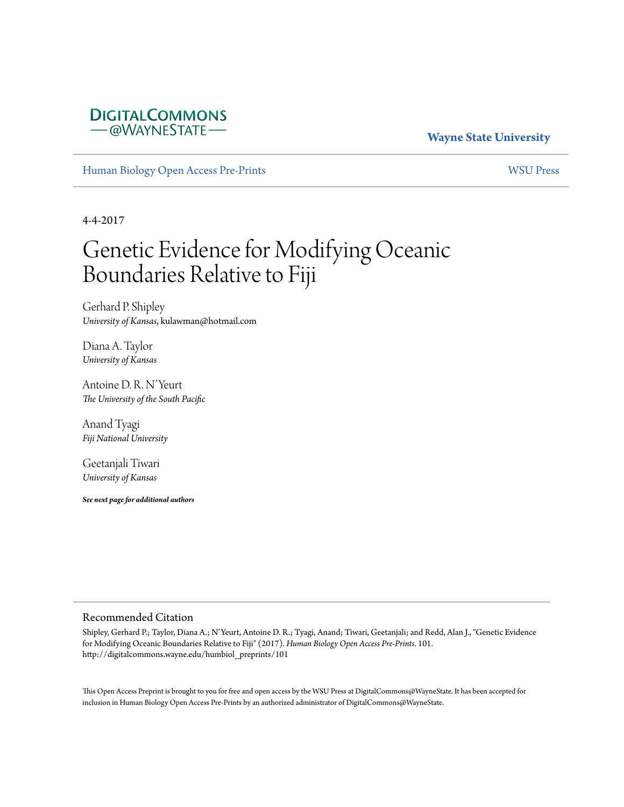### **DIGITALCOMMONS** - @WAYNESTATE

### **Wayne State University**

[Human Biology Open Access Pre-Prints](http://digitalcommons.wayne.edu/humbiol_preprints) [WSU Press](http://digitalcommons.wayne.edu/wsupress)

4-4-2017

# Genetic Evidence for Modifying Oceanic Boundaries Relative to Fiji

Gerhard P. Shipley *University of Kansas*, kulawman@hotmail.com

Diana A. Taylor *University of Kansas*

Antoine D. R. N'Yeurt *The University of the South Pacific*

Anand Tyagi *Fiji National University*

Geetanjali Tiwari *University of Kansas*

*See next page for additional authors*

#### Recommended Citation

Shipley, Gerhard P.; Taylor, Diana A.; N'Yeurt, Antoine D. R.; Tyagi, Anand; Tiwari, Geetanjali; and Redd, Alan J., "Genetic Evidence for Modifying Oceanic Boundaries Relative to Fiji" (2017). *Human Biology Open Access Pre-Prints*. 101. http://digitalcommons.wayne.edu/humbiol\_preprints/101

This Open Access Preprint is brought to you for free and open access by the WSU Press at DigitalCommons@WayneState. It has been accepted for inclusion in Human Biology Open Access Pre-Prints by an authorized administrator of DigitalCommons@WayneState.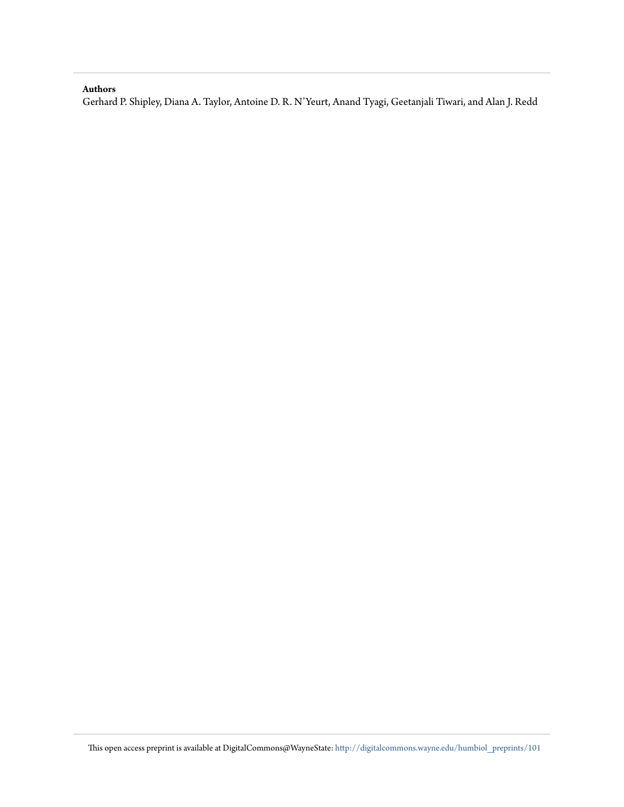#### **Authors**

Gerhard P. Shipley, Diana A. Taylor, Antoine D. R. N'Yeurt, Anand Tyagi, Geetanjali Tiwari, and Alan J. Redd

This open access preprint is available at DigitalCommons@WayneState: [http://digitalcommons.wayne.edu/humbiol\\_preprints/101](http://digitalcommons.wayne.edu/humbiol_preprints/101)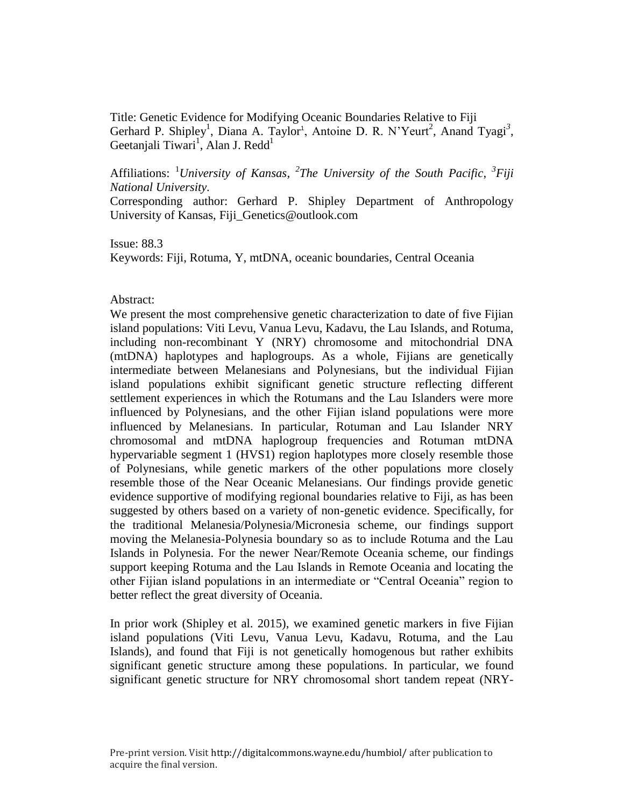Title: Genetic Evidence for Modifying Oceanic Boundaries Relative to Fiji [Gerhard P. Shipley](javascript:popUp()<sup>1</sup>, Diana A. Taylor<sup>1</sup>, Antoine D. R. N'Yeurt<sup>2</sup>, Anand Tyagi<sup>3</sup>, Geetanjali Tiwari<sup>1</sup>, Alan J. Redd<sup>1</sup>

Affiliations: <sup>1</sup>University of Kansas, <sup>2</sup>The University of the South Pacific, <sup>3</sup>Fiji *National University.*

Corresponding author: Gerhard P. Shipley Department of Anthropology University of Kansas, Fiji\_Genetics@outlook.com

Issue: 88.3 Keywords: Fiji, Rotuma, Y, mtDNA, oceanic boundaries, Central Oceania

#### Abstract:

We present the most comprehensive genetic characterization to date of five Fijian island populations: Viti Levu, Vanua Levu, Kadavu, the Lau Islands, and Rotuma, including non-recombinant Y (NRY) chromosome and mitochondrial DNA (mtDNA) haplotypes and haplogroups. As a whole, Fijians are genetically intermediate between Melanesians and Polynesians, but the individual Fijian island populations exhibit significant genetic structure reflecting different settlement experiences in which the Rotumans and the Lau Islanders were more influenced by Polynesians, and the other Fijian island populations were more influenced by Melanesians. In particular, Rotuman and Lau Islander NRY chromosomal and mtDNA haplogroup frequencies and Rotuman mtDNA hypervariable segment 1 (HVS1) region haplotypes more closely resemble those of Polynesians, while genetic markers of the other populations more closely resemble those of the Near Oceanic Melanesians. Our findings provide genetic evidence supportive of modifying regional boundaries relative to Fiji, as has been suggested by others based on a variety of non-genetic evidence. Specifically, for the traditional Melanesia/Polynesia/Micronesia scheme, our findings support moving the Melanesia-Polynesia boundary so as to include Rotuma and the Lau Islands in Polynesia. For the newer Near/Remote Oceania scheme, our findings support keeping Rotuma and the Lau Islands in Remote Oceania and locating the other Fijian island populations in an intermediate or "Central Oceania" region to better reflect the great diversity of Oceania.

In prior work (Shipley et al. 2015), we examined genetic markers in five Fijian island populations (Viti Levu, Vanua Levu, Kadavu, Rotuma, and the Lau Islands), and found that Fiji is not genetically homogenous but rather exhibits significant genetic structure among these populations. In particular, we found significant genetic structure for NRY chromosomal short tandem repeat (NRY-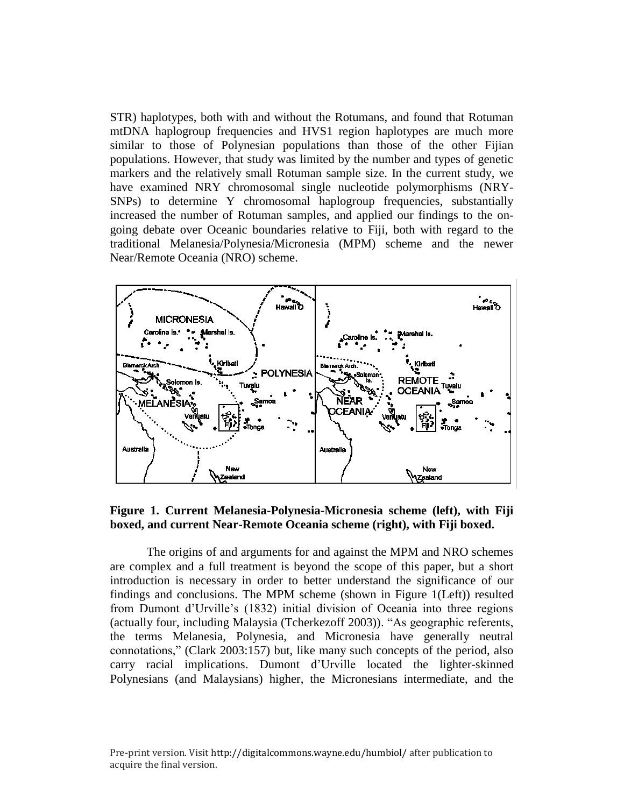STR) haplotypes, both with and without the Rotumans, and found that Rotuman mtDNA haplogroup frequencies and HVS1 region haplotypes are much more similar to those of Polynesian populations than those of the other Fijian populations. However, that study was limited by the number and types of genetic markers and the relatively small Rotuman sample size. In the current study, we have examined NRY chromosomal single nucleotide polymorphisms (NRY-SNPs) to determine Y chromosomal haplogroup frequencies, substantially increased the number of Rotuman samples, and applied our findings to the ongoing debate over Oceanic boundaries relative to Fiji, both with regard to the traditional Melanesia/Polynesia/Micronesia (MPM) scheme and the newer Near/Remote Oceania (NRO) scheme.



**Figure 1. Current Melanesia-Polynesia-Micronesia scheme (left), with Fiji boxed, and current Near-Remote Oceania scheme (right), with Fiji boxed.**

The origins of and arguments for and against the MPM and NRO schemes are complex and a full treatment is beyond the scope of this paper, but a short introduction is necessary in order to better understand the significance of our findings and conclusions. The MPM scheme (shown in Figure 1(Left)) resulted from Dumont d'Urville's (1832) initial division of Oceania into three regions (actually four, including Malaysia (Tcherkezoff 2003)). "As geographic referents, the terms Melanesia, Polynesia, and Micronesia have generally neutral connotations," (Clark 2003:157) but, like many such concepts of the period, also carry racial implications. Dumont d'Urville located the lighter-skinned Polynesians (and Malaysians) higher, the Micronesians intermediate, and the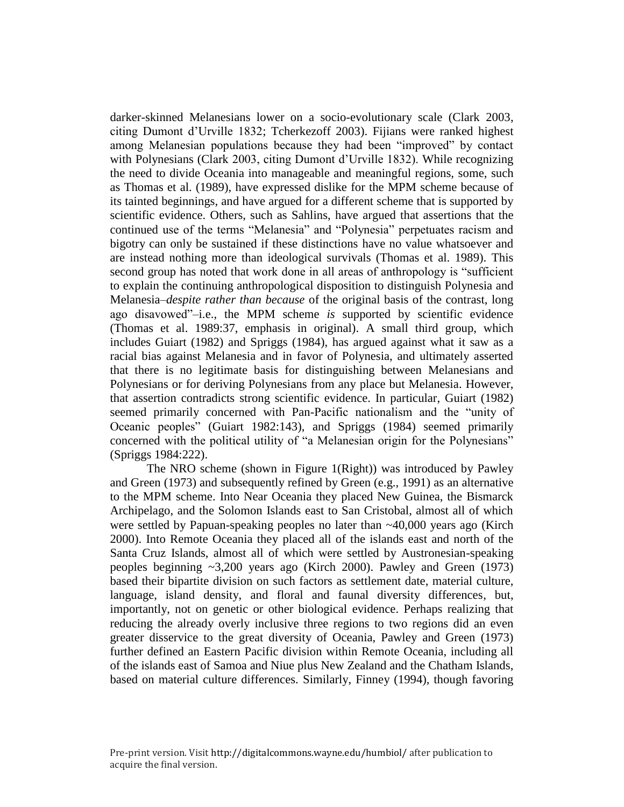darker-skinned Melanesians lower on a socio-evolutionary scale (Clark 2003, citing Dumont d'Urville 1832; Tcherkezoff 2003). Fijians were ranked highest among Melanesian populations because they had been "improved" by contact with Polynesians (Clark 2003, citing Dumont d'Urville 1832). While recognizing the need to divide Oceania into manageable and meaningful regions, some, such as Thomas et al. (1989), have expressed dislike for the MPM scheme because of its tainted beginnings, and have argued for a different scheme that is supported by scientific evidence. Others, such as Sahlins, have argued that assertions that the continued use of the terms "Melanesia" and "Polynesia" perpetuates racism and bigotry can only be sustained if these distinctions have no value whatsoever and are instead nothing more than ideological survivals (Thomas et al. 1989). This second group has noted that work done in all areas of anthropology is "sufficient to explain the continuing anthropological disposition to distinguish Polynesia and Melanesia–*despite rather than because* of the original basis of the contrast, long ago disavowed"–i.e., the MPM scheme *is* supported by scientific evidence (Thomas et al. 1989:37, emphasis in original). A small third group, which includes Guiart (1982) and Spriggs (1984), has argued against what it saw as a racial bias against Melanesia and in favor of Polynesia, and ultimately asserted that there is no legitimate basis for distinguishing between Melanesians and Polynesians or for deriving Polynesians from any place but Melanesia. However, that assertion contradicts strong scientific evidence. In particular, Guiart (1982) seemed primarily concerned with Pan-Pacific nationalism and the "unity of Oceanic peoples" (Guiart 1982:143), and Spriggs (1984) seemed primarily concerned with the political utility of "a Melanesian origin for the Polynesians" (Spriggs 1984:222).

The NRO scheme (shown in Figure 1(Right)) was introduced by Pawley and Green (1973) and subsequently refined by Green (e.g., 1991) as an alternative to the MPM scheme. Into Near Oceania they placed New Guinea, the Bismarck Archipelago, and the Solomon Islands east to San Cristobal, almost all of which were settled by Papuan-speaking peoples no later than  $\sim$ 40,000 years ago (Kirch 2000). Into Remote Oceania they placed all of the islands east and north of the Santa Cruz Islands, almost all of which were settled by Austronesian-speaking peoples beginning ~3,200 years ago (Kirch 2000). Pawley and Green (1973) based their bipartite division on such factors as settlement date, material culture, language, island density, and floral and faunal diversity differences, but, importantly, not on genetic or other biological evidence. Perhaps realizing that reducing the already overly inclusive three regions to two regions did an even greater disservice to the great diversity of Oceania, Pawley and Green (1973) further defined an Eastern Pacific division within Remote Oceania, including all of the islands east of Samoa and Niue plus New Zealand and the Chatham Islands, based on material culture differences. Similarly, Finney (1994), though favoring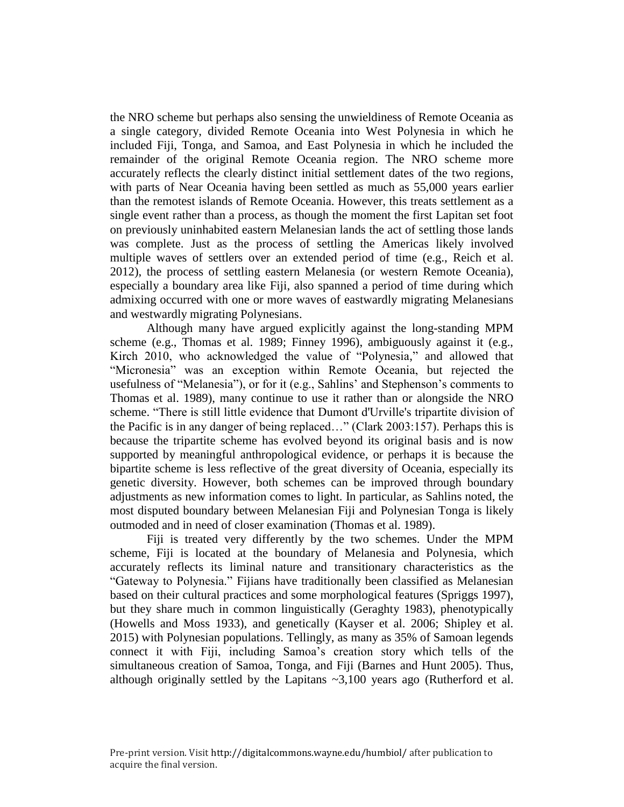the NRO scheme but perhaps also sensing the unwieldiness of Remote Oceania as a single category, divided Remote Oceania into West Polynesia in which he included Fiji, Tonga, and Samoa, and East Polynesia in which he included the remainder of the original Remote Oceania region. The NRO scheme more accurately reflects the clearly distinct initial settlement dates of the two regions, with parts of Near Oceania having been settled as much as 55,000 years earlier than the remotest islands of Remote Oceania. However, this treats settlement as a single event rather than a process, as though the moment the first Lapitan set foot on previously uninhabited eastern Melanesian lands the act of settling those lands was complete. Just as the process of settling the Americas likely involved multiple waves of settlers over an extended period of time (e.g., Reich et al. 2012), the process of settling eastern Melanesia (or western Remote Oceania), especially a boundary area like Fiji, also spanned a period of time during which admixing occurred with one or more waves of eastwardly migrating Melanesians and westwardly migrating Polynesians.

Although many have argued explicitly against the long-standing MPM scheme (e.g., Thomas et al. 1989; Finney 1996), ambiguously against it (e.g., Kirch 2010, who acknowledged the value of "Polynesia," and allowed that "Micronesia" was an exception within Remote Oceania, but rejected the usefulness of "Melanesia"), or for it (e.g., Sahlins' and Stephenson's comments to Thomas et al. 1989), many continue to use it rather than or alongside the NRO scheme. "There is still little evidence that Dumont d'Urville's tripartite division of the Pacific is in any danger of being replaced…" (Clark 2003:157). Perhaps this is because the tripartite scheme has evolved beyond its original basis and is now supported by meaningful anthropological evidence, or perhaps it is because the bipartite scheme is less reflective of the great diversity of Oceania, especially its genetic diversity. However, both schemes can be improved through boundary adjustments as new information comes to light. In particular, as Sahlins noted, the most disputed boundary between Melanesian Fiji and Polynesian Tonga is likely outmoded and in need of closer examination (Thomas et al. 1989).

Fiji is treated very differently by the two schemes. Under the MPM scheme, Fiji is located at the boundary of Melanesia and Polynesia, which accurately reflects its liminal nature and transitionary characteristics as the "Gateway to Polynesia." Fijians have traditionally been classified as Melanesian based on their cultural practices and some morphological features (Spriggs 1997), but they share much in common linguistically (Geraghty 1983), phenotypically (Howells and Moss 1933), and genetically (Kayser et al. 2006; Shipley et al. 2015) with Polynesian populations. Tellingly, as many as 35% of Samoan legends connect it with Fiji, including Samoa's creation story which tells of the simultaneous creation of Samoa, Tonga, and Fiji (Barnes and Hunt 2005). Thus, although originally settled by the Lapitans  $\sim 3,100$  years ago (Rutherford et al.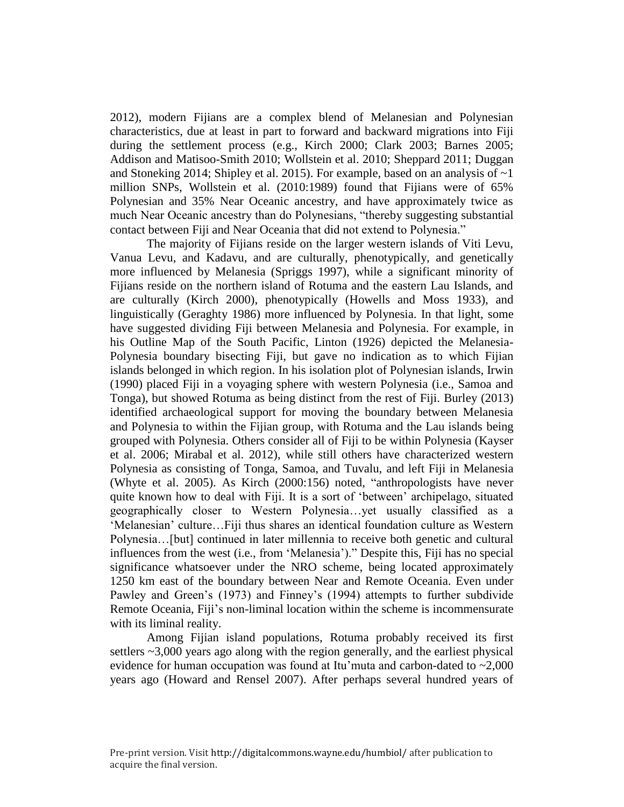2012), modern Fijians are a complex blend of Melanesian and Polynesian characteristics, due at least in part to forward and backward migrations into Fiji during the settlement process (e.g., Kirch 2000; Clark 2003; Barnes 2005; Addison and Matisoo-Smith 2010; Wollstein et al. 2010; Sheppard 2011; Duggan and Stoneking 2014; Shipley et al. 2015). For example, based on an analysis of ~1 million SNPs, Wollstein et al. (2010:1989) found that Fijians were of 65% Polynesian and 35% Near Oceanic ancestry, and have approximately twice as much Near Oceanic ancestry than do Polynesians, "thereby suggesting substantial contact between Fiji and Near Oceania that did not extend to Polynesia."

The majority of Fijians reside on the larger western islands of Viti Levu, Vanua Levu, and Kadavu, and are culturally, phenotypically, and genetically more influenced by Melanesia (Spriggs 1997), while a significant minority of Fijians reside on the northern island of Rotuma and the eastern Lau Islands, and are culturally (Kirch 2000), phenotypically (Howells and Moss 1933), and linguistically (Geraghty 1986) more influenced by Polynesia. In that light, some have suggested dividing Fiji between Melanesia and Polynesia. For example, in his Outline Map of the South Pacific, Linton (1926) depicted the Melanesia-Polynesia boundary bisecting Fiji, but gave no indication as to which Fijian islands belonged in which region. In his isolation plot of Polynesian islands, Irwin (1990) placed Fiji in a voyaging sphere with western Polynesia (i.e., Samoa and Tonga), but showed Rotuma as being distinct from the rest of Fiji. Burley (2013) identified archaeological support for moving the boundary between Melanesia and Polynesia to within the Fijian group, with Rotuma and the Lau islands being grouped with Polynesia. Others consider all of Fiji to be within Polynesia (Kayser et al. 2006; Mirabal et al. 2012), while still others have characterized western Polynesia as consisting of Tonga, Samoa, and Tuvalu, and left Fiji in Melanesia (Whyte et al. 2005). As Kirch (2000:156) noted, "anthropologists have never quite known how to deal with Fiji. It is a sort of 'between' archipelago, situated geographically closer to Western Polynesia…yet usually classified as a 'Melanesian' culture…Fiji thus shares an identical foundation culture as Western Polynesia…[but] continued in later millennia to receive both genetic and cultural influences from the west (i.e., from 'Melanesia')." Despite this, Fiji has no special significance whatsoever under the NRO scheme, being located approximately 1250 km east of the boundary between Near and Remote Oceania. Even under Pawley and Green's (1973) and Finney's (1994) attempts to further subdivide Remote Oceania, Fiji's non-liminal location within the scheme is incommensurate with its liminal reality.

Among Fijian island populations, Rotuma probably received its first settlers ~3,000 years ago along with the region generally, and the earliest physical evidence for human occupation was found at Itu'muta and carbon-dated to  $\sim 2,000$ years ago (Howard and Rensel 2007). After perhaps several hundred years of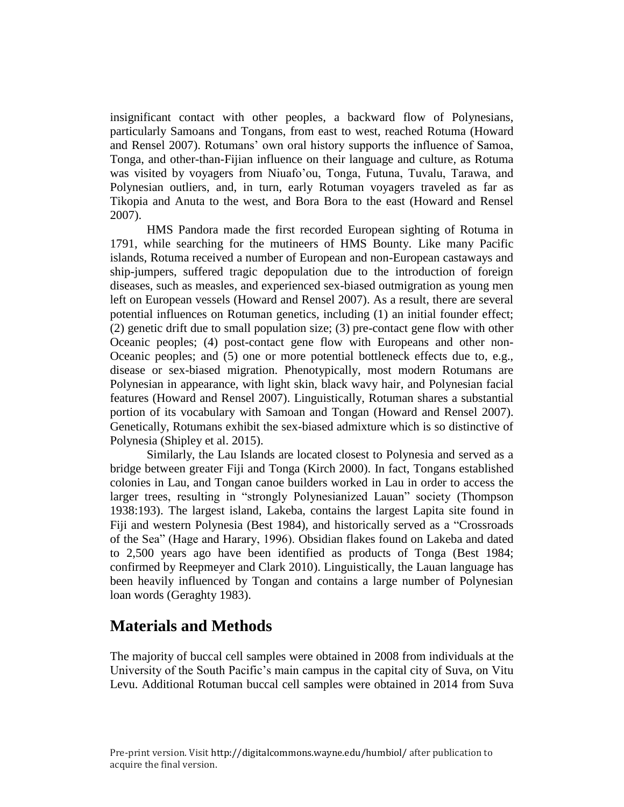insignificant contact with other peoples, a backward flow of Polynesians, particularly Samoans and Tongans, from east to west, reached Rotuma (Howard and Rensel 2007). Rotumans' own oral history supports the influence of Samoa, Tonga, and other-than-Fijian influence on their language and culture, as Rotuma was visited by voyagers from Niuafo'ou, Tonga, Futuna, Tuvalu, Tarawa, and Polynesian outliers, and, in turn, early Rotuman voyagers traveled as far as Tikopia and Anuta to the west, and Bora Bora to the east (Howard and Rensel 2007).

HMS Pandora made the first recorded European sighting of Rotuma in 1791, while searching for the mutineers of HMS Bounty. Like many Pacific islands, Rotuma received a number of European and non-European castaways and ship-jumpers, suffered tragic depopulation due to the introduction of foreign diseases, such as measles, and experienced sex-biased outmigration as young men left on European vessels (Howard and Rensel 2007). As a result, there are several potential influences on Rotuman genetics, including (1) an initial founder effect; (2) genetic drift due to small population size; (3) pre-contact gene flow with other Oceanic peoples; (4) post-contact gene flow with Europeans and other non-Oceanic peoples; and (5) one or more potential bottleneck effects due to, e.g., disease or sex-biased migration. Phenotypically, most modern Rotumans are Polynesian in appearance, with light skin, black wavy hair, and Polynesian facial features (Howard and Rensel 2007). Linguistically, Rotuman shares a substantial portion of its vocabulary with Samoan and Tongan (Howard and Rensel 2007). Genetically, Rotumans exhibit the sex-biased admixture which is so distinctive of Polynesia (Shipley et al. 2015).

Similarly, the Lau Islands are located closest to Polynesia and served as a bridge between greater Fiji and Tonga (Kirch 2000). In fact, Tongans established colonies in Lau, and Tongan canoe builders worked in Lau in order to access the larger trees, resulting in "strongly Polynesianized Lauan" society (Thompson 1938:193). The largest island, Lakeba, contains the largest Lapita site found in Fiji and western Polynesia (Best 1984), and historically served as a "Crossroads of the Sea" (Hage and Harary, 1996). Obsidian flakes found on Lakeba and dated to 2,500 years ago have been identified as products of Tonga (Best 1984; confirmed by Reepmeyer and Clark 2010). Linguistically, the Lauan language has been heavily influenced by Tongan and contains a large number of Polynesian loan words (Geraghty 1983).

# **Materials and Methods**

The majority of buccal cell samples were obtained in 2008 from individuals at the University of the South Pacific's main campus in the capital city of Suva, on Vitu Levu. Additional Rotuman buccal cell samples were obtained in 2014 from Suva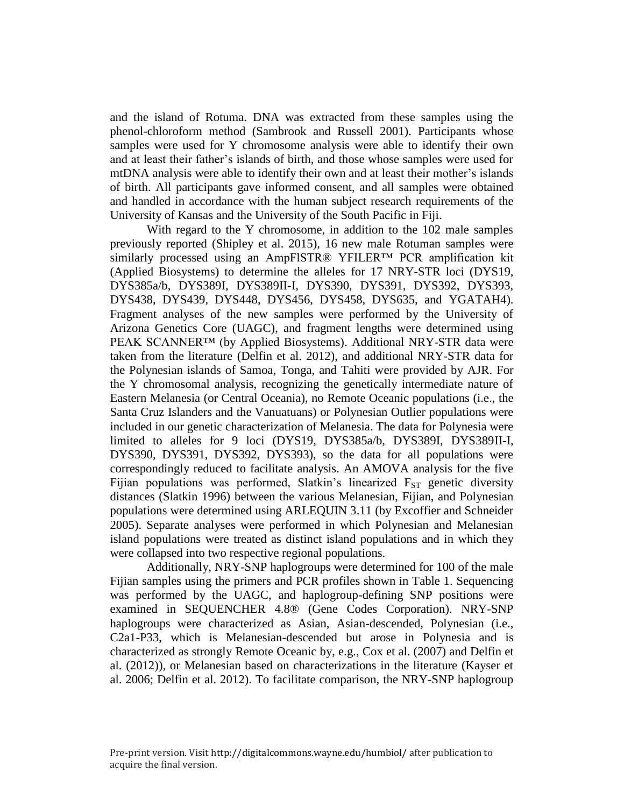and the island of Rotuma. DNA was extracted from these samples using the phenol-chloroform method (Sambrook and Russell 2001). Participants whose samples were used for Y chromosome analysis were able to identify their own and at least their father's islands of birth, and those whose samples were used for mtDNA analysis were able to identify their own and at least their mother's islands of birth. All participants gave informed consent, and all samples were obtained and handled in accordance with the human subject research requirements of the University of Kansas and the University of the South Pacific in Fiji.

With regard to the Y chromosome, in addition to the 102 male samples previously reported (Shipley et al. 2015), 16 new male Rotuman samples were similarly processed using an AmpFlSTR® YFILER<sup>™</sup> PCR amplification kit (Applied Biosystems) to determine the alleles for 17 NRY-STR loci (DYS19, DYS385a/b, DYS389I, DYS389II-I, DYS390, DYS391, DYS392, DYS393, DYS438, DYS439, DYS448, DYS456, DYS458, DYS635, and YGATAH4). Fragment analyses of the new samples were performed by the University of Arizona Genetics Core (UAGC), and fragment lengths were determined using PEAK SCANNER<sup>™</sup> (by Applied Biosystems). Additional NRY-STR data were taken from the literature (Delfin et al. 2012), and additional NRY-STR data for the Polynesian islands of Samoa, Tonga, and Tahiti were provided by AJR. For the Y chromosomal analysis, recognizing the genetically intermediate nature of Eastern Melanesia (or Central Oceania), no Remote Oceanic populations (i.e., the Santa Cruz Islanders and the Vanuatuans) or Polynesian Outlier populations were included in our genetic characterization of Melanesia. The data for Polynesia were limited to alleles for 9 loci (DYS19, DYS385a/b, DYS389I, DYS389II-I, DYS390, DYS391, DYS392, DYS393), so the data for all populations were correspondingly reduced to facilitate analysis. An AMOVA analysis for the five Fijian populations was performed, Slatkin's linearized  $F_{ST}$  genetic diversity distances (Slatkin 1996) between the various Melanesian, Fijian, and Polynesian populations were determined using ARLEQUIN 3.11 (by Excoffier and Schneider 2005). Separate analyses were performed in which Polynesian and Melanesian island populations were treated as distinct island populations and in which they were collapsed into two respective regional populations.

Additionally, NRY-SNP haplogroups were determined for 100 of the male Fijian samples using the primers and PCR profiles shown in Table 1. Sequencing was performed by the UAGC, and haplogroup-defining SNP positions were examined in SEQUENCHER 4.8® (Gene Codes Corporation). NRY-SNP haplogroups were characterized as Asian, Asian-descended, Polynesian (i.e., C2a1-P33, which is Melanesian-descended but arose in Polynesia and is characterized as strongly Remote Oceanic by, e.g., Cox et al. (2007) and Delfin et al. (2012)), or Melanesian based on characterizations in the literature (Kayser et al. 2006; Delfin et al. 2012). To facilitate comparison, the NRY-SNP haplogroup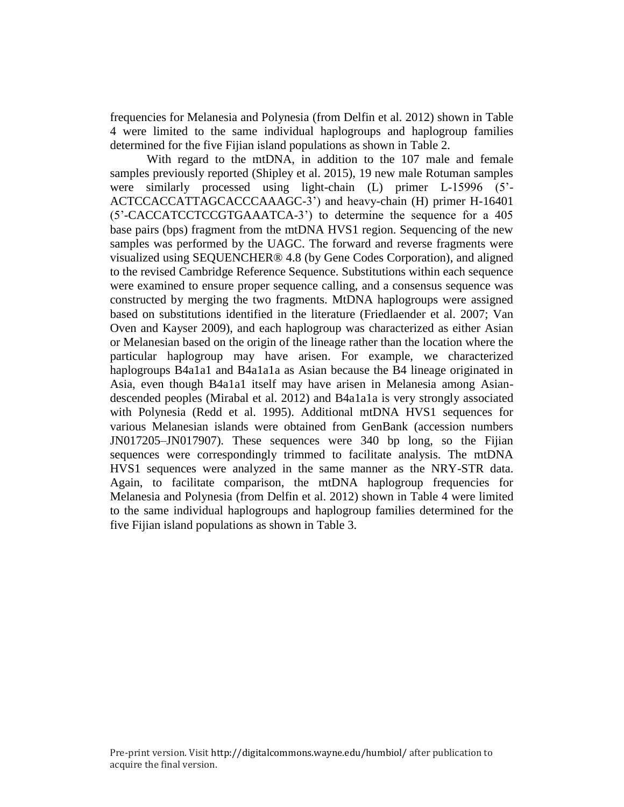frequencies for Melanesia and Polynesia (from Delfin et al. 2012) shown in Table 4 were limited to the same individual haplogroups and haplogroup families determined for the five Fijian island populations as shown in Table 2.

With regard to the mtDNA, in addition to the 107 male and female samples previously reported (Shipley et al. 2015), 19 new male Rotuman samples were similarly processed using light-chain (L) primer L-15996 (5'- ACTCCACCATTAGCACCCAAAGC-3') and heavy-chain (H) primer H-16401 (5'-CACCATCCTCCGTGAAATCA-3') to determine the sequence for a 405 base pairs (bps) fragment from the mtDNA HVS1 region. Sequencing of the new samples was performed by the UAGC. The forward and reverse fragments were visualized using SEQUENCHER® 4.8 (by Gene Codes Corporation), and aligned to the revised Cambridge Reference Sequence. Substitutions within each sequence were examined to ensure proper sequence calling, and a consensus sequence was constructed by merging the two fragments. MtDNA haplogroups were assigned based on substitutions identified in the literature (Friedlaender et al. 2007; Van Oven and Kayser 2009), and each haplogroup was characterized as either Asian or Melanesian based on the origin of the lineage rather than the location where the particular haplogroup may have arisen. For example, we characterized haplogroups B4a1a1 and B4a1a1a as Asian because the B4 lineage originated in Asia, even though B4a1a1 itself may have arisen in Melanesia among Asiandescended peoples (Mirabal et al. 2012) and B4a1a1a is very strongly associated with Polynesia (Redd et al. 1995). Additional mtDNA HVS1 sequences for various Melanesian islands were obtained from GenBank (accession numbers JN017205–JN017907). These sequences were 340 bp long, so the Fijian sequences were correspondingly trimmed to facilitate analysis. The mtDNA HVS1 sequences were analyzed in the same manner as the NRY-STR data. Again, to facilitate comparison, the mtDNA haplogroup frequencies for Melanesia and Polynesia (from Delfin et al. 2012) shown in Table 4 were limited to the same individual haplogroups and haplogroup families determined for the five Fijian island populations as shown in Table 3.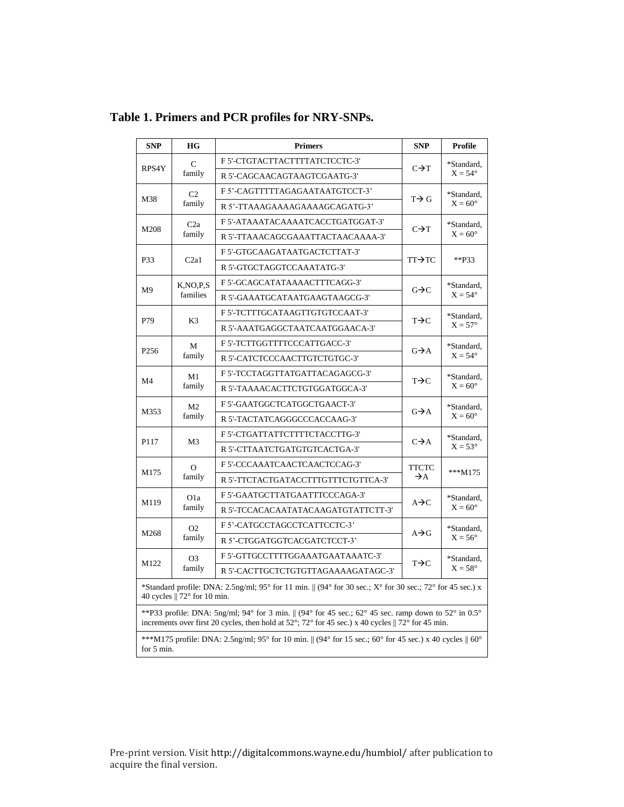| <b>SNP</b>                                                                                                                                                                                                          | HG                         | <b>Primers</b>                      | <b>SNP</b>        | Profile                        |  |  |  |
|---------------------------------------------------------------------------------------------------------------------------------------------------------------------------------------------------------------------|----------------------------|-------------------------------------|-------------------|--------------------------------|--|--|--|
| RPS4Y                                                                                                                                                                                                               | C<br>family                | F 5'-CTGTACTTACTTTTATCTCCTC-3'      |                   | *Standard,<br>$X = 54^{\circ}$ |  |  |  |
|                                                                                                                                                                                                                     |                            | R 5'-CAGCAACAGTAAGTCGAATG-3'        | $C\rightarrow T$  |                                |  |  |  |
| M38                                                                                                                                                                                                                 | C <sub>2</sub>             | F 5'-CAGTTTTTAGAGAATAATGTCCT-3'     |                   | *Standard,                     |  |  |  |
|                                                                                                                                                                                                                     | family                     | R 5'-TTAAAGAAAAGAAAAGCAGATG-3'      | $T \rightarrow G$ | $X = 60^\circ$                 |  |  |  |
|                                                                                                                                                                                                                     | C2a<br>family              | F 5'-ATAAATACAAAATCACCTGATGGAT-3'   | $C\rightarrow T$  | *Standard,<br>$X = 60^{\circ}$ |  |  |  |
| M208                                                                                                                                                                                                                |                            | R 5'-TTAAACAGCGAAATTACTAACAAAA-3'   |                   |                                |  |  |  |
|                                                                                                                                                                                                                     | C2a1                       | F 5'-GTGCAAGATAATGACTCTTAT-3'       | TT→TC             | $*$ <b>P33</b>                 |  |  |  |
| P33                                                                                                                                                                                                                 |                            | R 5'-GTGCTAGGTCCAAATATG-3'          |                   |                                |  |  |  |
|                                                                                                                                                                                                                     | K, NO, P, S                | F 5'-GCAGCATATAAAACTTTCAGG-3'       |                   | *Standard,                     |  |  |  |
| M <sup>9</sup>                                                                                                                                                                                                      | families                   | R 5'-GAAATGCATAATGAAGTAAGCG-3'      | $G \rightarrow C$ | $X = 54^\circ$                 |  |  |  |
| P79                                                                                                                                                                                                                 |                            | F 5'-TCTTTGCATAAGTTGTGTCCAAT-3'     | $T \rightarrow C$ | *Standard,<br>$X = 57^\circ$   |  |  |  |
|                                                                                                                                                                                                                     | K <sub>3</sub>             | R 5'-AAATGAGGCTAATCAATGGAACA-3'     |                   |                                |  |  |  |
|                                                                                                                                                                                                                     | М<br>family                | F 5'-TCTTGGTTTTCCCATTGACC-3'        | $G \rightarrow A$ | *Standard,<br>$X = 54^\circ$   |  |  |  |
| P <sub>256</sub>                                                                                                                                                                                                    |                            | R 5'-CATCTCCCAACTTGTCTGTGC-3'       |                   |                                |  |  |  |
|                                                                                                                                                                                                                     | M1<br>family               | F 5'-TCCTAGGTTATGATTACAGAGCG-3'     | $T \rightarrow C$ | *Standard,<br>$X = 60^\circ$   |  |  |  |
| M <sub>4</sub>                                                                                                                                                                                                      |                            | R 5'-TAAAACACTTCTGTGGATGGCA-3'      |                   |                                |  |  |  |
|                                                                                                                                                                                                                     | M <sub>2</sub><br>family   | F 5'-GAATGGCTCATGGCTGAACT-3'        |                   | *Standard,<br>$X = 60^\circ$   |  |  |  |
| M353                                                                                                                                                                                                                |                            | R 5'-TACTATCAGGGCCCACCAAG-3'        | $G\rightarrow A$  |                                |  |  |  |
|                                                                                                                                                                                                                     | M3                         | F 5'-CTGATTATTCTTTTCTACCTTG-3'      | $C\rightarrow A$  | *Standard,<br>$X = 53^\circ$   |  |  |  |
| P117                                                                                                                                                                                                                |                            | R 5'-CTTAATCTGATGTGTCACTGA-3'       |                   |                                |  |  |  |
|                                                                                                                                                                                                                     | $\Omega$<br>family         | F 5'-CCCAAATCAACTCAACTCCAG-3'       | <b>TTCTC</b>      | $***M175$                      |  |  |  |
| M175                                                                                                                                                                                                                |                            | R 5'-TTCTACTGATACCTTTGTTTCTGTTCA-3' | $\rightarrow$ A   |                                |  |  |  |
|                                                                                                                                                                                                                     | O <sub>1</sub> a<br>family | F 5'-GAATGCTTATGAATTTCCCAGA-3'      | $A \rightarrow C$ | *Standard,<br>$X = 60^\circ$   |  |  |  |
| M119                                                                                                                                                                                                                |                            | R 5'-TCCACACAATATACAAGATGTATTCTT-3' |                   |                                |  |  |  |
| M268                                                                                                                                                                                                                | O <sub>2</sub><br>family   | F 5'-CATGCCTAGCCTCATTCCTC-3'        | $A \rightarrow G$ | *Standard,                     |  |  |  |
|                                                                                                                                                                                                                     |                            | R 5'-CTGGATGGTCACGATCTCCT-3'        |                   | $X = 56^\circ$                 |  |  |  |
| M122                                                                                                                                                                                                                | O <sub>3</sub><br>family   | F 5'-GTTGCCTTTTGGAAATGAATAAATC-3'   | $T \rightarrow C$ | *Standard.                     |  |  |  |
|                                                                                                                                                                                                                     |                            | R 5'-CACTTGCTCTGTGTTAGAAAAGATAGC-3' |                   | $X = 58^\circ$                 |  |  |  |
| *Standard profile: DNA: 2.5ng/ml; 95° for 11 min. $\parallel$ (94° for 30 sec.; X° for 30 sec.; 72° for 45 sec.) x<br>40 cycles $\parallel$ 72 $\degree$ for 10 min.                                                |                            |                                     |                   |                                |  |  |  |
| **P33 profile: DNA: 5ng/ml; 94° for 3 min. $\parallel$ (94° for 45 sec.; 62° 45 sec. ramp down to 52° in 0.5°<br>increments over first 20 cycles, then hold at 52°; 72° for 45 sec.) x 40 cycles    72° for 45 min. |                            |                                     |                   |                                |  |  |  |
| ***M175 profile: DNA: 2.5ng/ml; 95° for 10 min. $\parallel$ (94° for 15 sec.; 60° for 45 sec.) x 40 cycles $\parallel$ 60°<br>for 5 min.                                                                            |                            |                                     |                   |                                |  |  |  |

**Table 1. Primers and PCR profiles for NRY-SNPs.**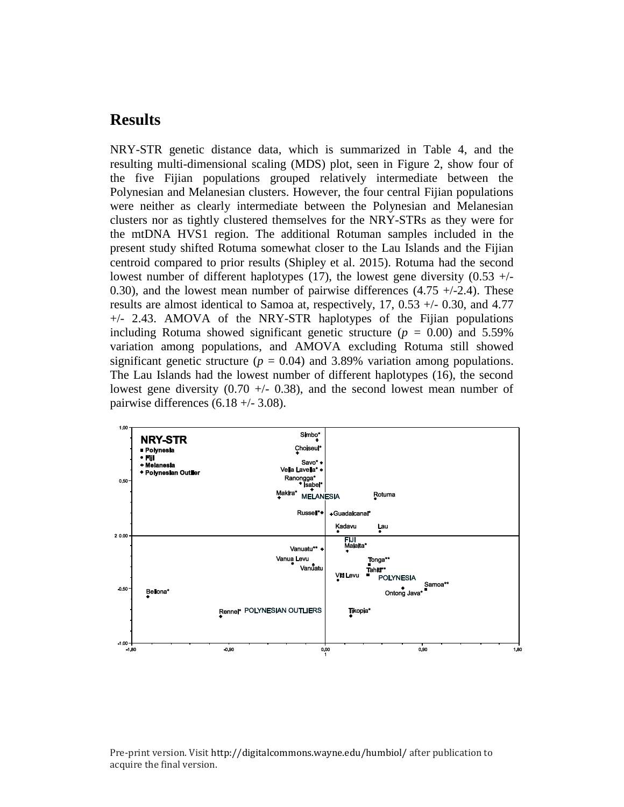# **Results**

NRY-STR genetic distance data, which is summarized in Table 4, and the resulting multi-dimensional scaling (MDS) plot, seen in Figure 2, show four of the five Fijian populations grouped relatively intermediate between the Polynesian and Melanesian clusters. However, the four central Fijian populations were neither as clearly intermediate between the Polynesian and Melanesian clusters nor as tightly clustered themselves for the NRY-STRs as they were for the mtDNA HVS1 region. The additional Rotuman samples included in the present study shifted Rotuma somewhat closer to the Lau Islands and the Fijian centroid compared to prior results (Shipley et al. 2015). Rotuma had the second lowest number of different haplotypes (17), the lowest gene diversity  $(0.53 +/-$ 0.30), and the lowest mean number of pairwise differences  $(4.75 +1.24)$ . These results are almost identical to Samoa at, respectively, 17, 0.53 +/- 0.30, and 4.77 +/- 2.43. AMOVA of the NRY-STR haplotypes of the Fijian populations including Rotuma showed significant genetic structure ( $p = 0.00$ ) and 5.59% variation among populations, and AMOVA excluding Rotuma still showed significant genetic structure ( $p = 0.04$ ) and 3.89% variation among populations. The Lau Islands had the lowest number of different haplotypes (16), the second lowest gene diversity  $(0.70 + - 0.38)$ , and the second lowest mean number of pairwise differences  $(6.18 +/- 3.08)$ .



Pre-print version. Visit http://digitalcommons.wayne.edu/humbiol/ after publication to acquire the final version.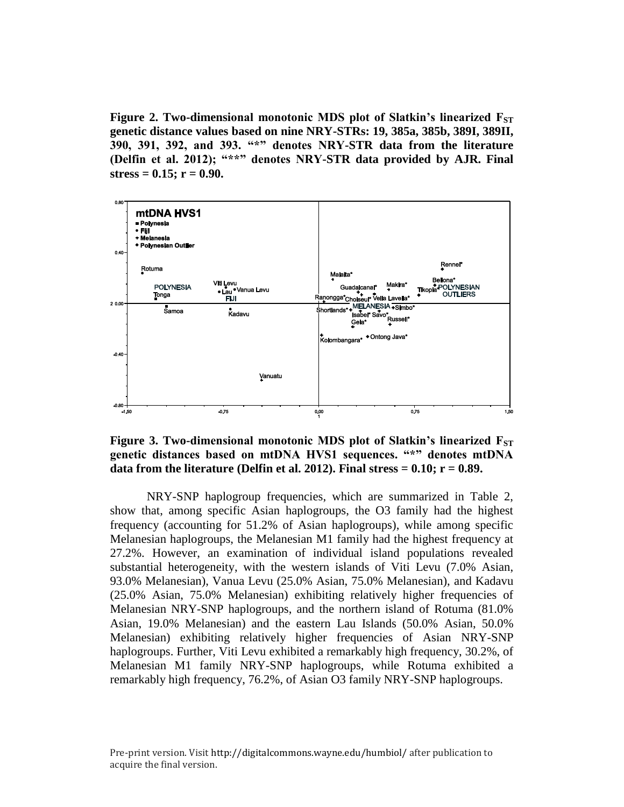**Figure 2. Two-dimensional monotonic MDS plot of Slatkin's linearized F**<sub>ST</sub> **genetic distance values based on nine NRY-STRs: 19, 385a, 385b, 389I, 389II, 390, 391, 392, and 393. "\*" denotes NRY-STR data from the literature (Delfin et al. 2012); "\*\*" denotes NRY-STR data provided by AJR. Final stress = 0.15; r = 0.90.**



**Figure 3. Two-dimensional monotonic MDS plot of Slatkin's linearized F**<sub>ST</sub> **genetic distances based on mtDNA HVS1 sequences. "\*" denotes mtDNA**  data from the literature (Delfin et al. 2012). Final stress  $= 0.10$ ;  $r = 0.89$ .

NRY-SNP haplogroup frequencies, which are summarized in Table 2, show that, among specific Asian haplogroups, the O3 family had the highest frequency (accounting for 51.2% of Asian haplogroups), while among specific Melanesian haplogroups, the Melanesian M1 family had the highest frequency at 27.2%. However, an examination of individual island populations revealed substantial heterogeneity, with the western islands of Viti Levu (7.0% Asian, 93.0% Melanesian), Vanua Levu (25.0% Asian, 75.0% Melanesian), and Kadavu (25.0% Asian, 75.0% Melanesian) exhibiting relatively higher frequencies of Melanesian NRY-SNP haplogroups, and the northern island of Rotuma (81.0% Asian, 19.0% Melanesian) and the eastern Lau Islands (50.0% Asian, 50.0% Melanesian) exhibiting relatively higher frequencies of Asian NRY-SNP haplogroups. Further, Viti Levu exhibited a remarkably high frequency, 30.2%, of Melanesian M1 family NRY-SNP haplogroups, while Rotuma exhibited a remarkably high frequency, 76.2%, of Asian O3 family NRY-SNP haplogroups.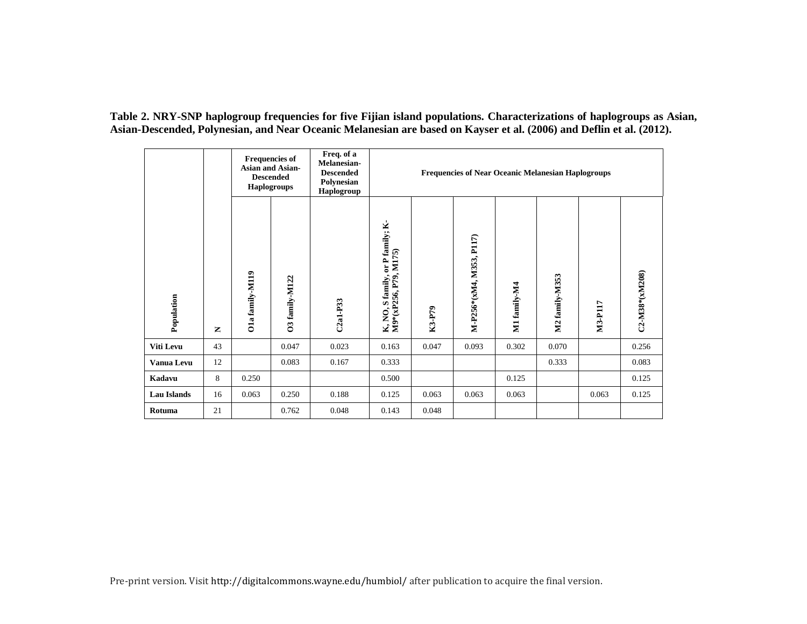**Table 2. NRY-SNP haplogroup frequencies for five Fijian island populations. Characterizations of haplogroups as Asian, Asian-Descended, Polynesian, and Near Oceanic Melanesian are based on Kayser et al. (2006) and Deflin et al. (2012).**

|                    |    |                 | <b>Frequencies of</b><br><b>Asian and Asian-</b><br><b>Descended</b><br><b>Haplogroups</b> | Freq. of a<br>Melanesian-<br><b>Descended</b><br>Polynesian<br>Haplogroup | <b>Frequencies of Near Oceanic Melanesian Haplogroups</b>             |        |                          |              |                |         |                |  |
|--------------------|----|-----------------|--------------------------------------------------------------------------------------------|---------------------------------------------------------------------------|-----------------------------------------------------------------------|--------|--------------------------|--------------|----------------|---------|----------------|--|
| Population         | z  | O1a family-M119 | O3 family-M122                                                                             | $C2a1-P33$                                                                | or P family; K-<br>K, NO, S family, or P fan<br>M9*(xP256, P79, M175) | K3-P79 | M-P256*(xM4, M353, P117) | M1 family-M4 | M2 family-M353 | M3-P117 | C2-M38*(xM208) |  |
| Viti Levu          | 43 |                 | 0.047                                                                                      | 0.023                                                                     | 0.163                                                                 | 0.047  | 0.093                    | 0.302        | 0.070          |         | 0.256          |  |
| Vanua Levu         | 12 |                 | 0.083                                                                                      | 0.167                                                                     | 0.333                                                                 |        |                          |              | 0.333          |         | 0.083          |  |
| Kadavu             | 8  | 0.250           |                                                                                            |                                                                           | 0.500                                                                 |        |                          | 0.125        |                |         | 0.125          |  |
| <b>Lau Islands</b> | 16 | 0.063           | 0.250                                                                                      | 0.188                                                                     | 0.125                                                                 | 0.063  | 0.063                    | 0.063        |                | 0.063   | 0.125          |  |
| Rotuma             | 21 |                 | 0.762                                                                                      | 0.048                                                                     | 0.143                                                                 | 0.048  |                          |              |                |         |                |  |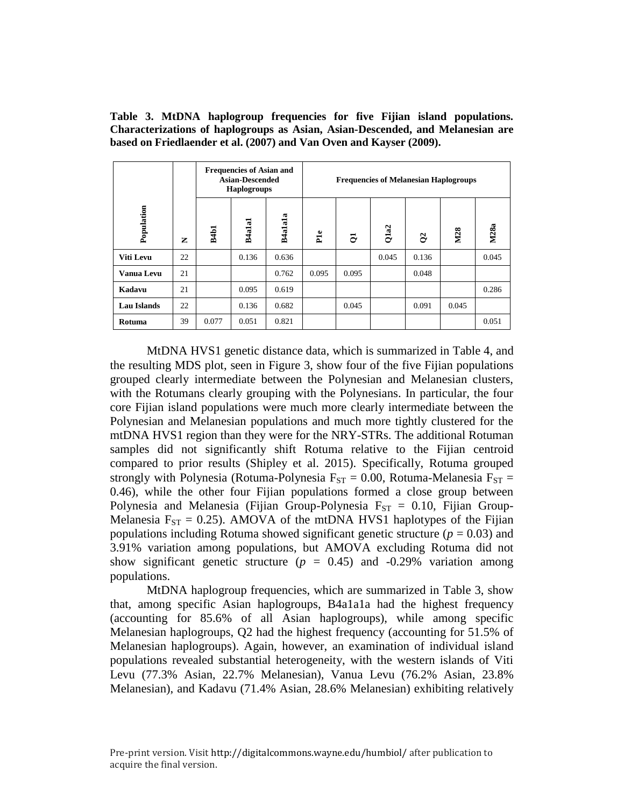**Table 3. MtDNA haplogroup frequencies for five Fijian island populations. Characterizations of haplogroups as Asian, Asian-Descended, and Melanesian are based on Friedlaender et al. (2007) and Van Oven and Kayser (2009).**

|                   |    | <b>Frequencies of Asian and</b><br><b>Asian-Descended</b><br><b>Haplogroups</b> |        |         | <b>Frequencies of Melanesian Haplogroups</b> |       |       |          |       |       |  |
|-------------------|----|---------------------------------------------------------------------------------|--------|---------|----------------------------------------------|-------|-------|----------|-------|-------|--|
| Population        | Z  | <b>B4b1</b>                                                                     | B4a1a1 | B4a1a1a | Ple                                          | ఠ     | Qla2  | $\infty$ | M28   | M28a  |  |
| Viti Levu         | 22 |                                                                                 | 0.136  | 0.636   |                                              |       | 0.045 | 0.136    |       | 0.045 |  |
| <b>Vanua Levu</b> | 21 |                                                                                 |        | 0.762   | 0.095                                        | 0.095 |       | 0.048    |       |       |  |
| Kadavu            | 21 |                                                                                 | 0.095  | 0.619   |                                              |       |       |          |       | 0.286 |  |
| Lau Islands       | 22 |                                                                                 | 0.136  | 0.682   |                                              | 0.045 |       | 0.091    | 0.045 |       |  |
| Rotuma            | 39 | 0.077                                                                           | 0.051  | 0.821   |                                              |       |       |          |       | 0.051 |  |

MtDNA HVS1 genetic distance data, which is summarized in Table 4, and the resulting MDS plot, seen in Figure 3, show four of the five Fijian populations grouped clearly intermediate between the Polynesian and Melanesian clusters, with the Rotumans clearly grouping with the Polynesians. In particular, the four core Fijian island populations were much more clearly intermediate between the Polynesian and Melanesian populations and much more tightly clustered for the mtDNA HVS1 region than they were for the NRY-STRs. The additional Rotuman samples did not significantly shift Rotuma relative to the Fijian centroid compared to prior results (Shipley et al. 2015). Specifically, Rotuma grouped strongly with Polynesia (Rotuma-Polynesia  $F_{ST} = 0.00$ , Rotuma-Melanesia  $F_{ST} =$ 0.46), while the other four Fijian populations formed a close group between Polynesia and Melanesia (Fijian Group-Polynesia  $F_{ST} = 0.10$ , Fijian Group-Melanesia  $F_{ST} = 0.25$ ). AMOVA of the mtDNA HVS1 haplotypes of the Fijian populations including Rotuma showed significant genetic structure ( $p = 0.03$ ) and 3.91% variation among populations, but AMOVA excluding Rotuma did not show significant genetic structure  $(p = 0.45)$  and  $-0.29\%$  variation among populations.

MtDNA haplogroup frequencies, which are summarized in Table 3, show that, among specific Asian haplogroups, B4a1a1a had the highest frequency (accounting for 85.6% of all Asian haplogroups), while among specific Melanesian haplogroups, Q2 had the highest frequency (accounting for 51.5% of Melanesian haplogroups). Again, however, an examination of individual island populations revealed substantial heterogeneity, with the western islands of Viti Levu (77.3% Asian, 22.7% Melanesian), Vanua Levu (76.2% Asian, 23.8% Melanesian), and Kadavu (71.4% Asian, 28.6% Melanesian) exhibiting relatively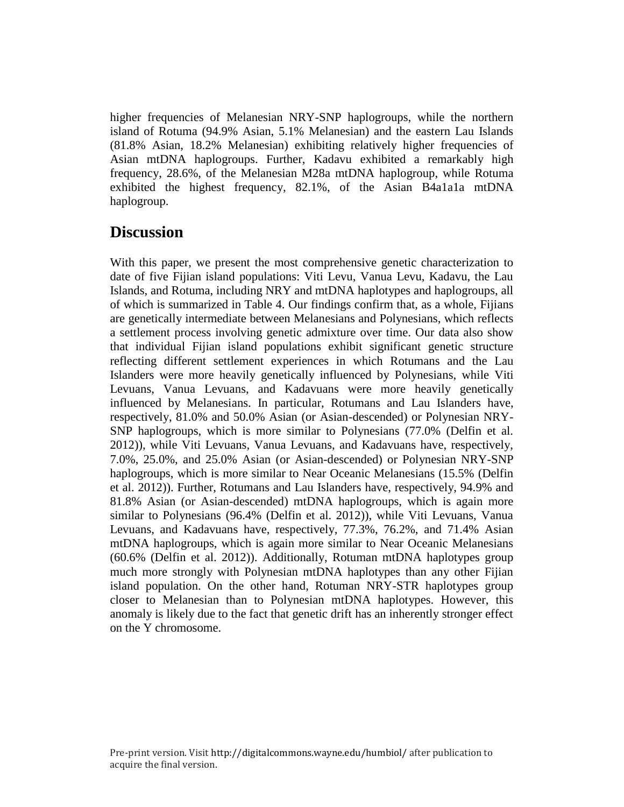higher frequencies of Melanesian NRY-SNP haplogroups, while the northern island of Rotuma (94.9% Asian, 5.1% Melanesian) and the eastern Lau Islands (81.8% Asian, 18.2% Melanesian) exhibiting relatively higher frequencies of Asian mtDNA haplogroups. Further, Kadavu exhibited a remarkably high frequency, 28.6%, of the Melanesian M28a mtDNA haplogroup, while Rotuma exhibited the highest frequency, 82.1%, of the Asian B4a1a1a mtDNA haplogroup.

## **Discussion**

With this paper, we present the most comprehensive genetic characterization to date of five Fijian island populations: Viti Levu, Vanua Levu, Kadavu, the Lau Islands, and Rotuma, including NRY and mtDNA haplotypes and haplogroups, all of which is summarized in Table 4. Our findings confirm that, as a whole, Fijians are genetically intermediate between Melanesians and Polynesians, which reflects a settlement process involving genetic admixture over time. Our data also show that individual Fijian island populations exhibit significant genetic structure reflecting different settlement experiences in which Rotumans and the Lau Islanders were more heavily genetically influenced by Polynesians, while Viti Levuans, Vanua Levuans, and Kadavuans were more heavily genetically influenced by Melanesians. In particular, Rotumans and Lau Islanders have, respectively, 81.0% and 50.0% Asian (or Asian-descended) or Polynesian NRY-SNP haplogroups, which is more similar to Polynesians (77.0% (Delfin et al. 2012)), while Viti Levuans, Vanua Levuans, and Kadavuans have, respectively, 7.0%, 25.0%, and 25.0% Asian (or Asian-descended) or Polynesian NRY-SNP haplogroups, which is more similar to Near Oceanic Melanesians (15.5% (Delfin et al. 2012)). Further, Rotumans and Lau Islanders have, respectively, 94.9% and 81.8% Asian (or Asian-descended) mtDNA haplogroups, which is again more similar to Polynesians (96.4% (Delfin et al. 2012)), while Viti Levuans, Vanua Levuans, and Kadavuans have, respectively, 77.3%, 76.2%, and 71.4% Asian mtDNA haplogroups, which is again more similar to Near Oceanic Melanesians (60.6% (Delfin et al. 2012)). Additionally, Rotuman mtDNA haplotypes group much more strongly with Polynesian mtDNA haplotypes than any other Fijian island population. On the other hand, Rotuman NRY-STR haplotypes group closer to Melanesian than to Polynesian mtDNA haplotypes. However, this anomaly is likely due to the fact that genetic drift has an inherently stronger effect on the Y chromosome.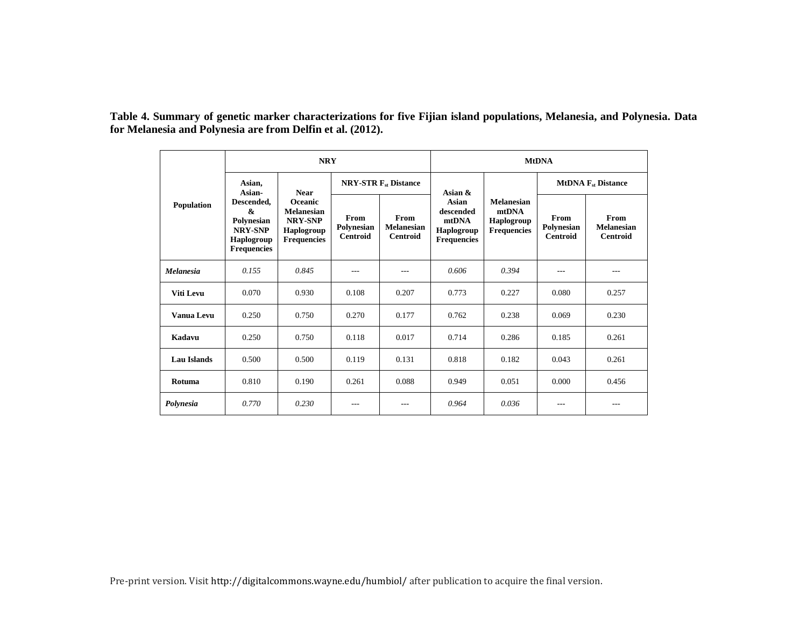**Table 4. Summary of genetic marker characterizations for five Fijian island populations, Melanesia, and Polynesia. Data for Melanesia and Polynesia are from Delfin et al. (2012).** 

|                    |                                                                                            | <b>NRY</b>                                                                                |                                       |                                                     | <b>MtDNA</b>                                                           |                                                                |                                       |                                              |  |
|--------------------|--------------------------------------------------------------------------------------------|-------------------------------------------------------------------------------------------|---------------------------------------|-----------------------------------------------------|------------------------------------------------------------------------|----------------------------------------------------------------|---------------------------------------|----------------------------------------------|--|
|                    | Asian,<br>Asian-                                                                           | <b>Near</b>                                                                               |                                       | <b>NRY-STR F<sub>st</sub></b> Distance              | Asian $\&$                                                             | <b>Melanesian</b><br>mtDNA<br>Haplogroup<br><b>Frequencies</b> | <b>MtDNA</b> $F_{st}$ Distance        |                                              |  |
| Population         | Descended,<br>&<br>Polynesian<br><b>NRY-SNP</b><br><b>Haplogroup</b><br><b>Frequencies</b> | <b>Oceanic</b><br><b>Melanesian</b><br><b>NRY-SNP</b><br>Haplogroup<br><b>Frequencies</b> | From<br>Polynesian<br><b>Centroid</b> | <b>From</b><br><b>Melanesian</b><br><b>Centroid</b> | Asian<br>descended<br>mtDNA<br><b>Haplogroup</b><br><b>Frequencies</b> |                                                                | From<br>Polynesian<br><b>Centroid</b> | From<br><b>Melanesian</b><br><b>Centroid</b> |  |
| <b>Melanesia</b>   | 0.155                                                                                      | 0.845                                                                                     | $- - -$                               | ---                                                 | 0.606                                                                  | 0.394                                                          | ---                                   | $---$                                        |  |
| Viti Levu          | 0.070                                                                                      | 0.930                                                                                     | 0.108                                 | 0.207                                               | 0.773                                                                  | 0.227                                                          | 0.080                                 | 0.257                                        |  |
| Vanua Levu         | 0.250                                                                                      | 0.750                                                                                     | 0.270                                 | 0.177                                               | 0.762                                                                  | 0.238                                                          | 0.069                                 | 0.230                                        |  |
| Kadavu             | 0.250                                                                                      | 0.750                                                                                     | 0.118                                 | 0.017                                               | 0.714                                                                  | 0.286                                                          | 0.185                                 | 0.261                                        |  |
| <b>Lau Islands</b> | 0.500                                                                                      | 0.500                                                                                     | 0.119                                 | 0.131                                               | 0.818                                                                  | 0.182                                                          | 0.043                                 | 0.261                                        |  |
| Rotuma             | 0.810                                                                                      | 0.190                                                                                     | 0.261                                 | 0.088                                               | 0.949                                                                  | 0.051                                                          | 0.000                                 | 0.456                                        |  |
| Polynesia          | 0.770                                                                                      | 0.230                                                                                     | ---                                   |                                                     | 0.964                                                                  | 0.036                                                          |                                       | ---                                          |  |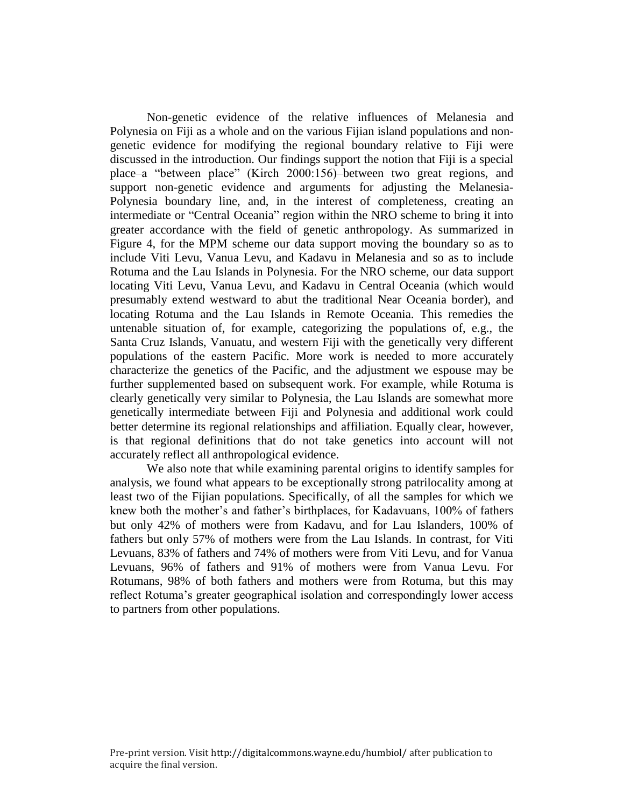Non-genetic evidence of the relative influences of Melanesia and Polynesia on Fiji as a whole and on the various Fijian island populations and nongenetic evidence for modifying the regional boundary relative to Fiji were discussed in the introduction. Our findings support the notion that Fiji is a special place–a "between place" (Kirch 2000:156)–between two great regions, and support non-genetic evidence and arguments for adjusting the Melanesia-Polynesia boundary line, and, in the interest of completeness, creating an intermediate or "Central Oceania" region within the NRO scheme to bring it into greater accordance with the field of genetic anthropology. As summarized in Figure 4, for the MPM scheme our data support moving the boundary so as to include Viti Levu, Vanua Levu, and Kadavu in Melanesia and so as to include Rotuma and the Lau Islands in Polynesia. For the NRO scheme, our data support locating Viti Levu, Vanua Levu, and Kadavu in Central Oceania (which would presumably extend westward to abut the traditional Near Oceania border), and locating Rotuma and the Lau Islands in Remote Oceania. This remedies the untenable situation of, for example, categorizing the populations of, e.g., the Santa Cruz Islands, Vanuatu, and western Fiji with the genetically very different populations of the eastern Pacific. More work is needed to more accurately characterize the genetics of the Pacific, and the adjustment we espouse may be further supplemented based on subsequent work. For example, while Rotuma is clearly genetically very similar to Polynesia, the Lau Islands are somewhat more genetically intermediate between Fiji and Polynesia and additional work could better determine its regional relationships and affiliation. Equally clear, however, is that regional definitions that do not take genetics into account will not accurately reflect all anthropological evidence.

We also note that while examining parental origins to identify samples for analysis, we found what appears to be exceptionally strong patrilocality among at least two of the Fijian populations. Specifically, of all the samples for which we knew both the mother's and father's birthplaces, for Kadavuans, 100% of fathers but only 42% of mothers were from Kadavu, and for Lau Islanders, 100% of fathers but only 57% of mothers were from the Lau Islands. In contrast, for Viti Levuans, 83% of fathers and 74% of mothers were from Viti Levu, and for Vanua Levuans, 96% of fathers and 91% of mothers were from Vanua Levu. For Rotumans, 98% of both fathers and mothers were from Rotuma, but this may reflect Rotuma's greater geographical isolation and correspondingly lower access to partners from other populations.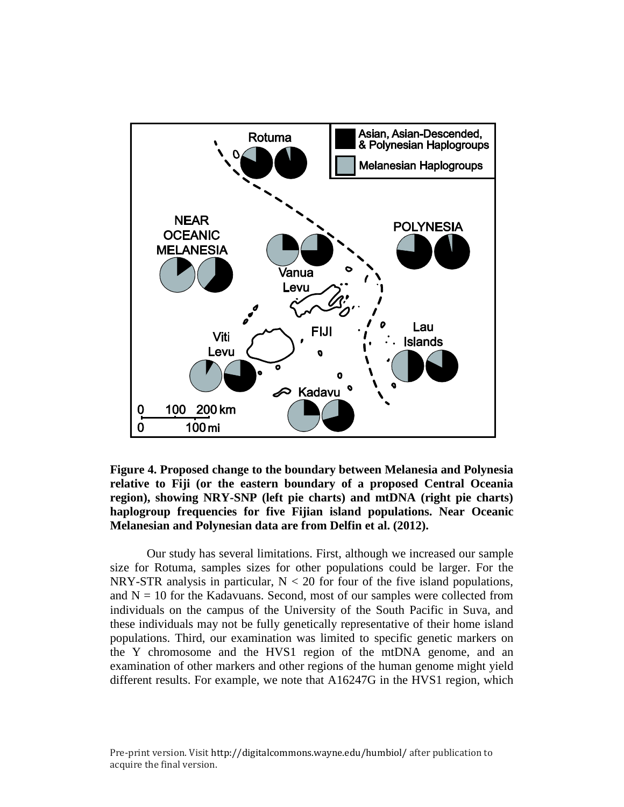

**Figure 4. Proposed change to the boundary between Melanesia and Polynesia relative to Fiji (or the eastern boundary of a proposed Central Oceania region), showing NRY-SNP (left pie charts) and mtDNA (right pie charts) haplogroup frequencies for five Fijian island populations. Near Oceanic Melanesian and Polynesian data are from Delfin et al. (2012).**

Our study has several limitations. First, although we increased our sample size for Rotuma, samples sizes for other populations could be larger. For the NRY-STR analysis in particular,  $N < 20$  for four of the five island populations, and  $N = 10$  for the Kadavuans. Second, most of our samples were collected from individuals on the campus of the University of the South Pacific in Suva, and these individuals may not be fully genetically representative of their home island populations. Third, our examination was limited to specific genetic markers on the Y chromosome and the HVS1 region of the mtDNA genome, and an examination of other markers and other regions of the human genome might yield different results. For example, we note that A16247G in the HVS1 region, which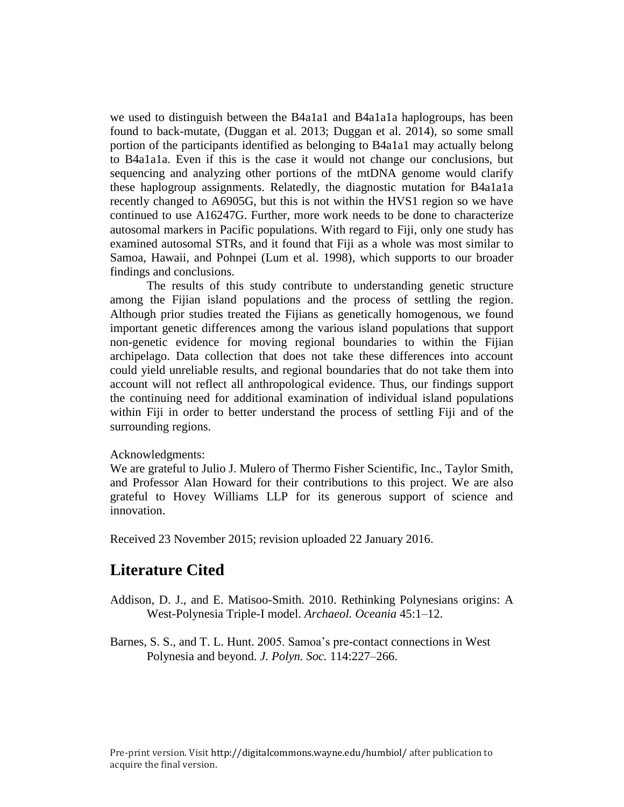we used to distinguish between the B4a1a1 and B4a1a1a haplogroups, has been found to back-mutate, (Duggan et al. 2013; Duggan et al. 2014), so some small portion of the participants identified as belonging to B4a1a1 may actually belong to B4a1a1a. Even if this is the case it would not change our conclusions, but sequencing and analyzing other portions of the mtDNA genome would clarify these haplogroup assignments. Relatedly, the diagnostic mutation for B4a1a1a recently changed to A6905G, but this is not within the HVS1 region so we have continued to use A16247G. Further, more work needs to be done to characterize autosomal markers in Pacific populations. With regard to Fiji, only one study has examined autosomal STRs, and it found that Fiji as a whole was most similar to Samoa, Hawaii, and Pohnpei (Lum et al. 1998), which supports to our broader findings and conclusions.

The results of this study contribute to understanding genetic structure among the Fijian island populations and the process of settling the region. Although prior studies treated the Fijians as genetically homogenous, we found important genetic differences among the various island populations that support non-genetic evidence for moving regional boundaries to within the Fijian archipelago. Data collection that does not take these differences into account could yield unreliable results, and regional boundaries that do not take them into account will not reflect all anthropological evidence. Thus, our findings support the continuing need for additional examination of individual island populations within Fiji in order to better understand the process of settling Fiji and of the surrounding regions.

### Acknowledgments:

We are grateful to Julio J. Mulero of Thermo Fisher Scientific, Inc., Taylor Smith, and Professor Alan Howard for their contributions to this project. We are also grateful to Hovey Williams LLP for its generous support of science and innovation.

Received 23 November 2015; revision uploaded 22 January 2016.

### **Literature Cited**

- Addison, D. J., and E. Matisoo-Smith. 2010. Rethinking Polynesians origins: A West-Polynesia Triple-I model. *Archaeol. Oceania* 45:1–12.
- Barnes, S. S., and T. L. Hunt. 2005. Samoa's pre-contact connections in West Polynesia and beyond. *J. Polyn. Soc.* 114:227–266.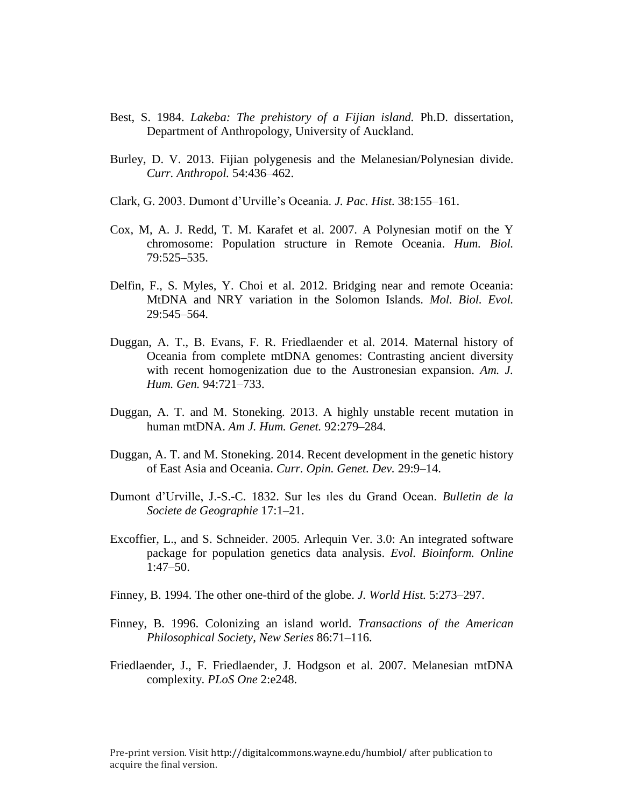- Best, S. 1984. *Lakeba: The prehistory of a Fijian island.* Ph.D. dissertation, Department of Anthropology, University of Auckland.
- Burley, D. V. 2013. Fijian polygenesis and the Melanesian/Polynesian divide. *Curr. Anthropol.* 54:436–462.
- Clark, G. 2003. Dumont d'Urville's Oceania. *J. Pac. Hist.* 38:155–161.
- Cox, M, A. J. Redd, T. M. Karafet et al. 2007. A Polynesian motif on the Y chromosome: Population structure in Remote Oceania. *Hum. Biol.* 79:525–535.
- Delfin, F., S. Myles, Y. Choi et al. 2012. Bridging near and remote Oceania: MtDNA and NRY variation in the Solomon Islands. *Mol. Biol. Evol.*  29:545–564.
- Duggan, A. T., B. Evans, F. R. Friedlaender et al. 2014. Maternal history of Oceania from complete mtDNA genomes: Contrasting ancient diversity with recent homogenization due to the Austronesian expansion. *Am. J. Hum. Gen.* 94:721–733.
- Duggan, A. T. and M. Stoneking. 2013. A highly unstable recent mutation in human mtDNA. *Am J. Hum. Genet.* 92:279–284.
- Duggan, A. T. and M. Stoneking. 2014. Recent development in the genetic history of East Asia and Oceania. *Curr. Opin. Genet. Dev.* 29:9–14.
- Dumont d'Urville, J.-S.-C. 1832. Sur les ıles du Grand Ocean. *Bulletin de la Societe de Geographie* 17:1–21.
- Excoffier, L., and S. Schneider. 2005. Arlequin Ver. 3.0: An integrated software package for population genetics data analysis. *Evol. Bioinform. Online* 1:47–50.
- Finney, B. 1994. The other one-third of the globe. *J. World Hist.* 5:273–297.
- Finney, B. 1996. Colonizing an island world. *Transactions of the American Philosophical Society, New Series* 86:71–116.
- Friedlaender, J., F. Friedlaender, J. Hodgson et al. 2007. Melanesian mtDNA complexity. *PLoS One* 2:e248.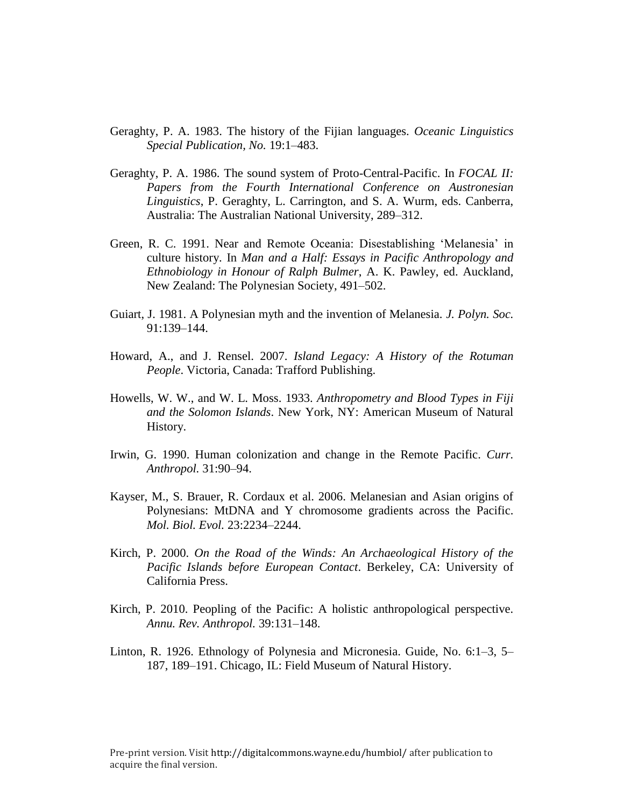- Geraghty, P. A. 1983. The history of the Fijian languages. *Oceanic Linguistics Special Publication, No.* 19:1–483.
- Geraghty, P. A. 1986. The sound system of Proto-Central-Pacific. In *FOCAL II: Papers from the Fourth International Conference on Austronesian Linguistics*, P. Geraghty, L. Carrington, and S. A. Wurm, eds. Canberra, Australia: The Australian National University, 289–312.
- Green, R. C. 1991. Near and Remote Oceania: Disestablishing 'Melanesia' in culture history. In *Man and a Half: Essays in Pacific Anthropology and Ethnobiology in Honour of Ralph Bulmer*, A. K. Pawley, ed. Auckland, New Zealand: The Polynesian Society, 491–502.
- Guiart, J. 1981. A Polynesian myth and the invention of Melanesia. *J. Polyn. Soc.*  91:139–144.
- Howard, A., and J. Rensel. 2007. *Island Legacy: A History of the Rotuman People*. Victoria, Canada: Trafford Publishing.
- Howells, W. W., and W. L. Moss. 1933. *Anthropometry and Blood Types in Fiji and the Solomon Islands*. New York, NY: American Museum of Natural History.
- Irwin, G. 1990. Human colonization and change in the Remote Pacific. *Curr. Anthropol.* 31:90–94.
- Kayser, M., S. Brauer, R. Cordaux et al. 2006. Melanesian and Asian origins of Polynesians: MtDNA and Y chromosome gradients across the Pacific. *Mol. Biol. Evol.* 23:2234–2244.
- Kirch, P. 2000. *On the Road of the Winds: An Archaeological History of the Pacific Islands before European Contact*. Berkeley, CA: University of California Press.
- Kirch, P. 2010. Peopling of the Pacific: A holistic anthropological perspective. *Annu. Rev. Anthropol.* 39:131–148.
- Linton, R. 1926. Ethnology of Polynesia and Micronesia. Guide, No. 6:1–3, 5– 187, 189–191. Chicago, IL: Field Museum of Natural History.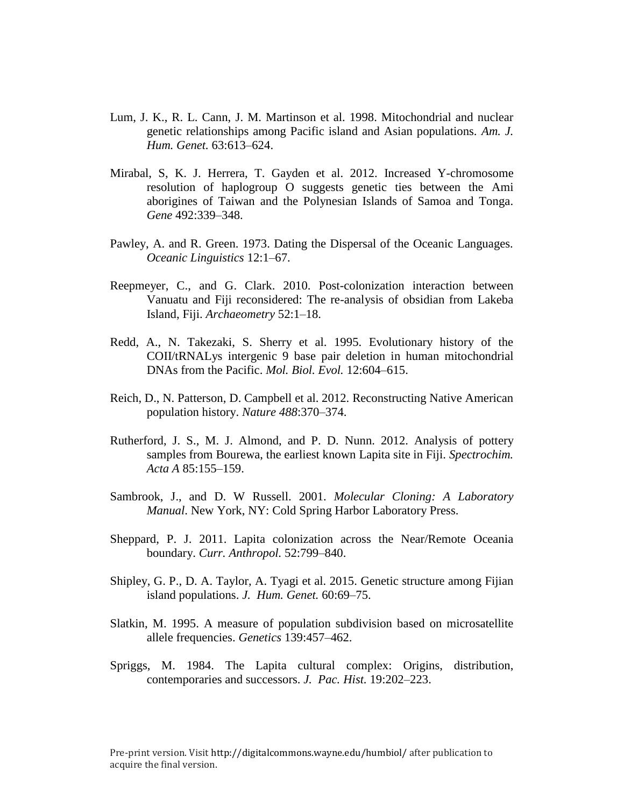- Lum, J. K., R. L. Cann, J. M. Martinson et al. 1998. Mitochondrial and nuclear genetic relationships among Pacific island and Asian populations. *Am. J. Hum. Genet.* 63:613–624.
- Mirabal, S, K. J. Herrera, T. Gayden et al. 2012. Increased Y-chromosome resolution of haplogroup O suggests genetic ties between the Ami aborigines of Taiwan and the Polynesian Islands of Samoa and Tonga. *Gene* 492:339–348.
- Pawley, A. and R. Green. 1973. Dating the Dispersal of the Oceanic Languages. *Oceanic Linguistics* 12:1–67.
- Reepmeyer, C., and G. Clark. 2010. Post-colonization interaction between Vanuatu and Fiji reconsidered: The re-analysis of obsidian from Lakeba Island, Fiji. *Archaeometry* 52:1–18.
- Redd, A., N. Takezaki, S. Sherry et al. 1995. Evolutionary history of the COII/tRNALys intergenic 9 base pair deletion in human mitochondrial DNAs from the Pacific. *Mol. Biol. Evol.* 12:604–615.
- Reich, D., N. Patterson, D. Campbell et al. 2012. Reconstructing Native American population history. *Nature 488*:370–374.
- Rutherford, J. S., M. J. Almond, and P. D. Nunn. 2012. Analysis of pottery samples from Bourewa, the earliest known Lapita site in Fiji. *Spectrochim. Acta A* 85:155–159.
- Sambrook, J., and D. W Russell. 2001. *Molecular Cloning: A Laboratory Manual*. New York, NY: Cold Spring Harbor Laboratory Press.
- Sheppard, P. J. 2011. Lapita colonization across the Near/Remote Oceania boundary. *Curr. Anthropol.* 52:799–840.
- Shipley, G. P., D. A. Taylor, A. Tyagi et al. 2015. Genetic structure among Fijian island populations. *J. Hum. Genet.* 60:69–75.
- Slatkin, M. 1995. A measure of population subdivision based on microsatellite allele frequencies. *Genetics* 139:457–462.
- Spriggs, M. 1984. The Lapita cultural complex: Origins, distribution, contemporaries and successors. *J. Pac. Hist.* 19:202–223.

Pre-print version. Visit http://digitalcommons.wayne.edu/humbiol/ after publication to acquire the final version.